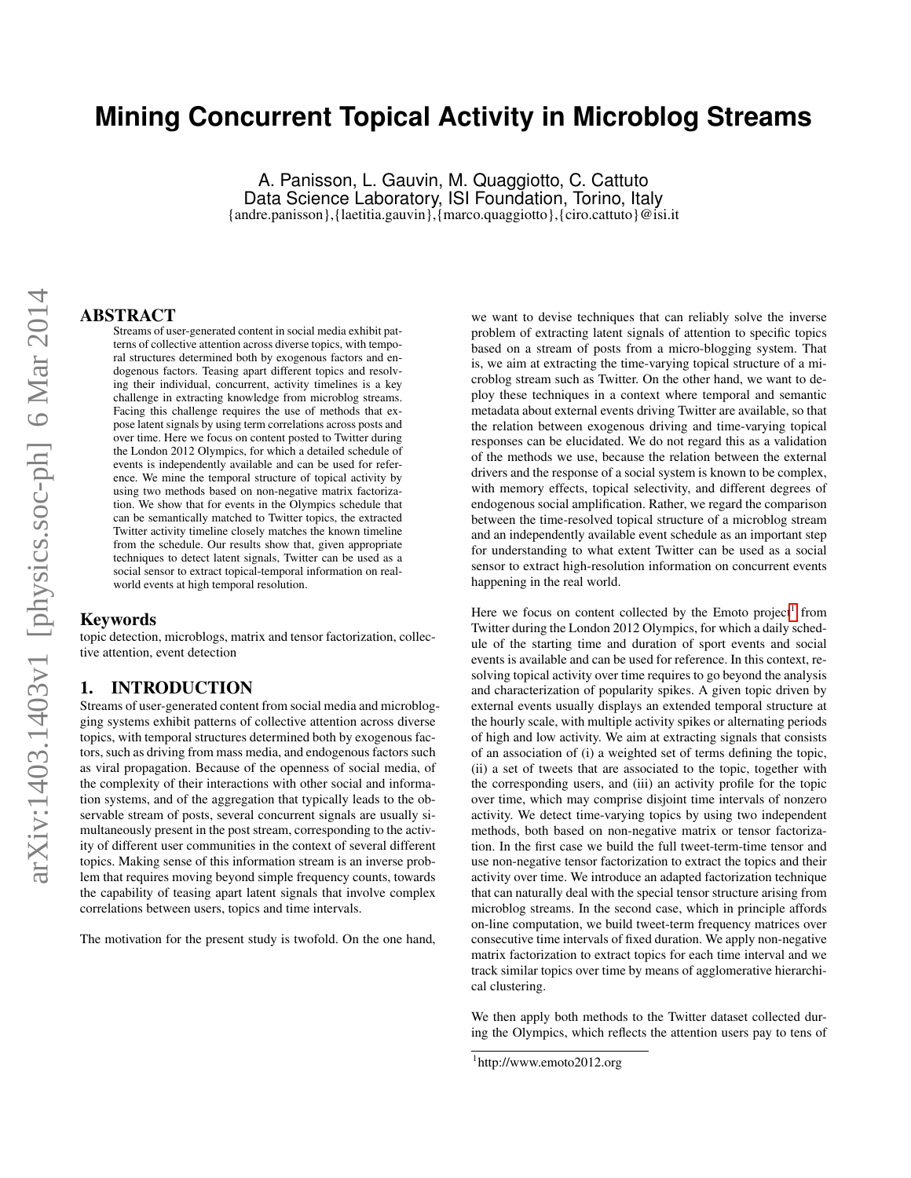# **Mining Concurrent Topical Activity in Microblog Streams**

A. Panisson, L. Gauvin, M. Quaggiotto, C. Cattuto Data Science Laboratory, ISI Foundation, Torino, Italy {andre.panisson},{laetitia.gauvin},{marco.quaggiotto},{ciro.cattuto}@isi.it

### ABSTRACT

Streams of user-generated content in social media exhibit patterns of collective attention across diverse topics, with temporal structures determined both by exogenous factors and endogenous factors. Teasing apart different topics and resolving their individual, concurrent, activity timelines is a key challenge in extracting knowledge from microblog streams. Facing this challenge requires the use of methods that expose latent signals by using term correlations across posts and over time. Here we focus on content posted to Twitter during the London 2012 Olympics, for which a detailed schedule of events is independently available and can be used for reference. We mine the temporal structure of topical activity by using two methods based on non-negative matrix factorization. We show that for events in the Olympics schedule that can be semantically matched to Twitter topics, the extracted Twitter activity timeline closely matches the known timeline from the schedule. Our results show that, given appropriate techniques to detect latent signals, Twitter can be used as a social sensor to extract topical-temporal information on realworld events at high temporal resolution.

#### Keywords

topic detection, microblogs, matrix and tensor factorization, collective attention, event detection

### 1. INTRODUCTION

Streams of user-generated content from social media and microblogging systems exhibit patterns of collective attention across diverse topics, with temporal structures determined both by exogenous factors, such as driving from mass media, and endogenous factors such as viral propagation. Because of the openness of social media, of the complexity of their interactions with other social and information systems, and of the aggregation that typically leads to the observable stream of posts, several concurrent signals are usually simultaneously present in the post stream, corresponding to the activity of different user communities in the context of several different topics. Making sense of this information stream is an inverse problem that requires moving beyond simple frequency counts, towards the capability of teasing apart latent signals that involve complex correlations between users, topics and time intervals.

The motivation for the present study is twofold. On the one hand,

we want to devise techniques that can reliably solve the inverse problem of extracting latent signals of attention to specific topics based on a stream of posts from a micro-blogging system. That is, we aim at extracting the time-varying topical structure of a microblog stream such as Twitter. On the other hand, we want to deploy these techniques in a context where temporal and semantic metadata about external events driving Twitter are available, so that the relation between exogenous driving and time-varying topical responses can be elucidated. We do not regard this as a validation of the methods we use, because the relation between the external drivers and the response of a social system is known to be complex, with memory effects, topical selectivity, and different degrees of endogenous social amplification. Rather, we regard the comparison between the time-resolved topical structure of a microblog stream and an independently available event schedule as an important step for understanding to what extent Twitter can be used as a social sensor to extract high-resolution information on concurrent events happening in the real world.

Here we focus on content collected by the Emoto project<sup>[1](#page-0-0)</sup> from Twitter during the London 2012 Olympics, for which a daily schedule of the starting time and duration of sport events and social events is available and can be used for reference. In this context, resolving topical activity over time requires to go beyond the analysis and characterization of popularity spikes. A given topic driven by external events usually displays an extended temporal structure at the hourly scale, with multiple activity spikes or alternating periods of high and low activity. We aim at extracting signals that consists of an association of (i) a weighted set of terms defining the topic, (ii) a set of tweets that are associated to the topic, together with the corresponding users, and (iii) an activity profile for the topic over time, which may comprise disjoint time intervals of nonzero activity. We detect time-varying topics by using two independent methods, both based on non-negative matrix or tensor factorization. In the first case we build the full tweet-term-time tensor and use non-negative tensor factorization to extract the topics and their activity over time. We introduce an adapted factorization technique that can naturally deal with the special tensor structure arising from microblog streams. In the second case, which in principle affords on-line computation, we build tweet-term frequency matrices over consecutive time intervals of fixed duration. We apply non-negative matrix factorization to extract topics for each time interval and we track similar topics over time by means of agglomerative hierarchical clustering.

We then apply both methods to the Twitter dataset collected during the Olympics, which reflects the attention users pay to tens of

<span id="page-0-0"></span><sup>1</sup> http://www.emoto2012.org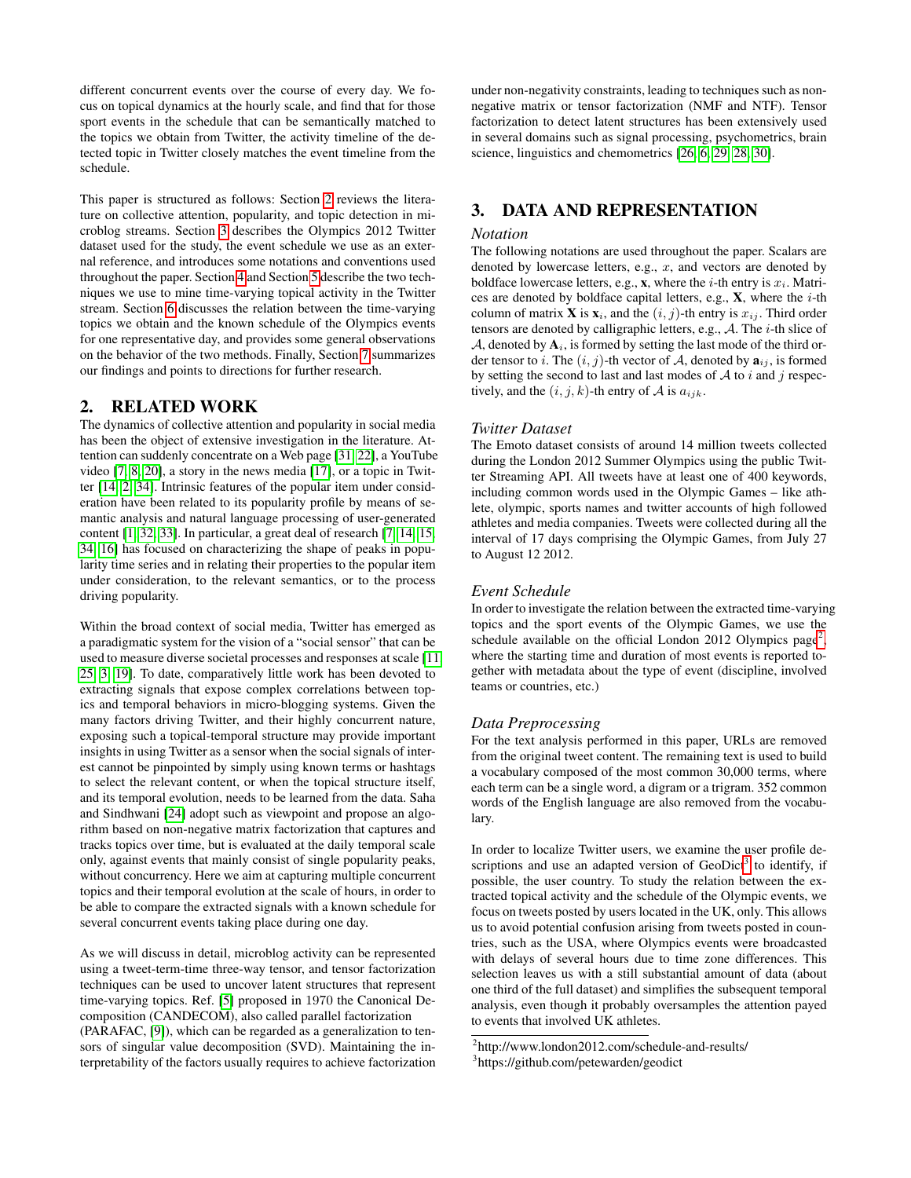different concurrent events over the course of every day. We focus on topical dynamics at the hourly scale, and find that for those sport events in the schedule that can be semantically matched to the topics we obtain from Twitter, the activity timeline of the detected topic in Twitter closely matches the event timeline from the schedule.

This paper is structured as follows: Section [2](#page-1-0) reviews the literature on collective attention, popularity, and topic detection in microblog streams. Section [3](#page-1-1) describes the Olympics 2012 Twitter dataset used for the study, the event schedule we use as an external reference, and introduces some notations and conventions used throughout the paper. Section [4](#page-2-0) and Section [5](#page-3-0) describe the two techniques we use to mine time-varying topical activity in the Twitter stream. Section [6](#page-4-0) discusses the relation between the time-varying topics we obtain and the known schedule of the Olympics events for one representative day, and provides some general observations on the behavior of the two methods. Finally, Section [7](#page-5-0) summarizes our findings and points to directions for further research.

# <span id="page-1-0"></span>2. RELATED WORK

The dynamics of collective attention and popularity in social media has been the object of extensive investigation in the literature. Attention can suddenly concentrate on a Web page [\[31,](#page-7-0) [22\]](#page-7-1), a YouTube video [\[7,](#page-7-2) [8,](#page-7-3) [20\]](#page-7-4), a story in the news media [\[17\]](#page-7-5), or a topic in Twitter [\[14,](#page-7-6) [2,](#page-5-1) [34\]](#page-7-7). Intrinsic features of the popular item under consideration have been related to its popularity profile by means of semantic analysis and natural language processing of user-generated content [\[1,](#page-5-2) [32,](#page-7-8) [33\]](#page-7-9). In particular, a great deal of research [\[7,](#page-7-2) [14,](#page-7-6) [15,](#page-7-10) [34,](#page-7-7) [16\]](#page-7-11) has focused on characterizing the shape of peaks in popularity time series and in relating their properties to the popular item under consideration, to the relevant semantics, or to the process driving popularity.

Within the broad context of social media, Twitter has emerged as a paradigmatic system for the vision of a "social sensor" that can be used to measure diverse societal processes and responses at scale [\[11,](#page-7-12) [25,](#page-7-13) [3,](#page-5-3) [19\]](#page-7-14). To date, comparatively little work has been devoted to extracting signals that expose complex correlations between topics and temporal behaviors in micro-blogging systems. Given the many factors driving Twitter, and their highly concurrent nature, exposing such a topical-temporal structure may provide important insights in using Twitter as a sensor when the social signals of interest cannot be pinpointed by simply using known terms or hashtags to select the relevant content, or when the topical structure itself, and its temporal evolution, needs to be learned from the data. Saha and Sindhwani [\[24\]](#page-7-15) adopt such as viewpoint and propose an algorithm based on non-negative matrix factorization that captures and tracks topics over time, but is evaluated at the daily temporal scale only, against events that mainly consist of single popularity peaks, without concurrency. Here we aim at capturing multiple concurrent topics and their temporal evolution at the scale of hours, in order to be able to compare the extracted signals with a known schedule for several concurrent events taking place during one day.

As we will discuss in detail, microblog activity can be represented using a tweet-term-time three-way tensor, and tensor factorization techniques can be used to uncover latent structures that represent time-varying topics. Ref. [\[5\]](#page-5-4) proposed in 1970 the Canonical Decomposition (CANDECOM), also called parallel factorization (PARAFAC, [\[9\]](#page-7-16)), which can be regarded as a generalization to tensors of singular value decomposition (SVD). Maintaining the interpretability of the factors usually requires to achieve factorization under non-negativity constraints, leading to techniques such as nonnegative matrix or tensor factorization (NMF and NTF). Tensor factorization to detect latent structures has been extensively used in several domains such as signal processing, psychometrics, brain science, linguistics and chemometrics [\[26,](#page-7-17) [6,](#page-7-18) [29,](#page-7-19) [28,](#page-7-20) [30\]](#page-7-21).

# <span id="page-1-1"></span>3. DATA AND REPRESENTATION

#### *Notation*

The following notations are used throughout the paper. Scalars are denoted by lowercase letters, e.g.,  $x$ , and vectors are denoted by boldface lowercase letters, e.g., x, where the *i*-th entry is  $x_i$ . Matrices are denoted by boldface capital letters, e.g.,  $X$ , where the *i*-th column of matrix **X** is  $\mathbf{x}_i$ , and the  $(i, j)$ -th entry is  $x_{ij}$ . Third order tensors are denoted by calligraphic letters, e.g.,  $A$ . The *i*-th slice of  $A$ , denoted by  $A_i$ , is formed by setting the last mode of the third order tensor to i. The  $(i, j)$ -th vector of A, denoted by  $a_{ij}$ , is formed by setting the second to last and last modes of  $A$  to  $i$  and  $j$  respectively, and the  $(i, j, k)$ -th entry of A is  $a_{ijk}$ .

### *Twitter Dataset*

The Emoto dataset consists of around 14 million tweets collected during the London 2012 Summer Olympics using the public Twitter Streaming API. All tweets have at least one of 400 keywords, including common words used in the Olympic Games – like athlete, olympic, sports names and twitter accounts of high followed athletes and media companies. Tweets were collected during all the interval of 17 days comprising the Olympic Games, from July 27 to August 12 2012.

#### *Event Schedule*

In order to investigate the relation between the extracted time-varying topics and the sport events of the Olympic Games, we use the schedule available on the official London [2](#page-1-2)012 Olympics page<sup>2</sup>, where the starting time and duration of most events is reported together with metadata about the type of event (discipline, involved teams or countries, etc.)

#### *Data Preprocessing*

For the text analysis performed in this paper, URLs are removed from the original tweet content. The remaining text is used to build a vocabulary composed of the most common 30,000 terms, where each term can be a single word, a digram or a trigram. 352 common words of the English language are also removed from the vocabulary.

In order to localize Twitter users, we examine the user profile descriptions and use an adapted version of  $GeoDict^3$  $GeoDict^3$  to identify, if possible, the user country. To study the relation between the extracted topical activity and the schedule of the Olympic events, we focus on tweets posted by users located in the UK, only. This allows us to avoid potential confusion arising from tweets posted in countries, such as the USA, where Olympics events were broadcasted with delays of several hours due to time zone differences. This selection leaves us with a still substantial amount of data (about one third of the full dataset) and simplifies the subsequent temporal analysis, even though it probably oversamples the attention payed to events that involved UK athletes.

<span id="page-1-2"></span><sup>2</sup> http://www.london2012.com/schedule-and-results/

<span id="page-1-3"></span><sup>3</sup> https://github.com/petewarden/geodict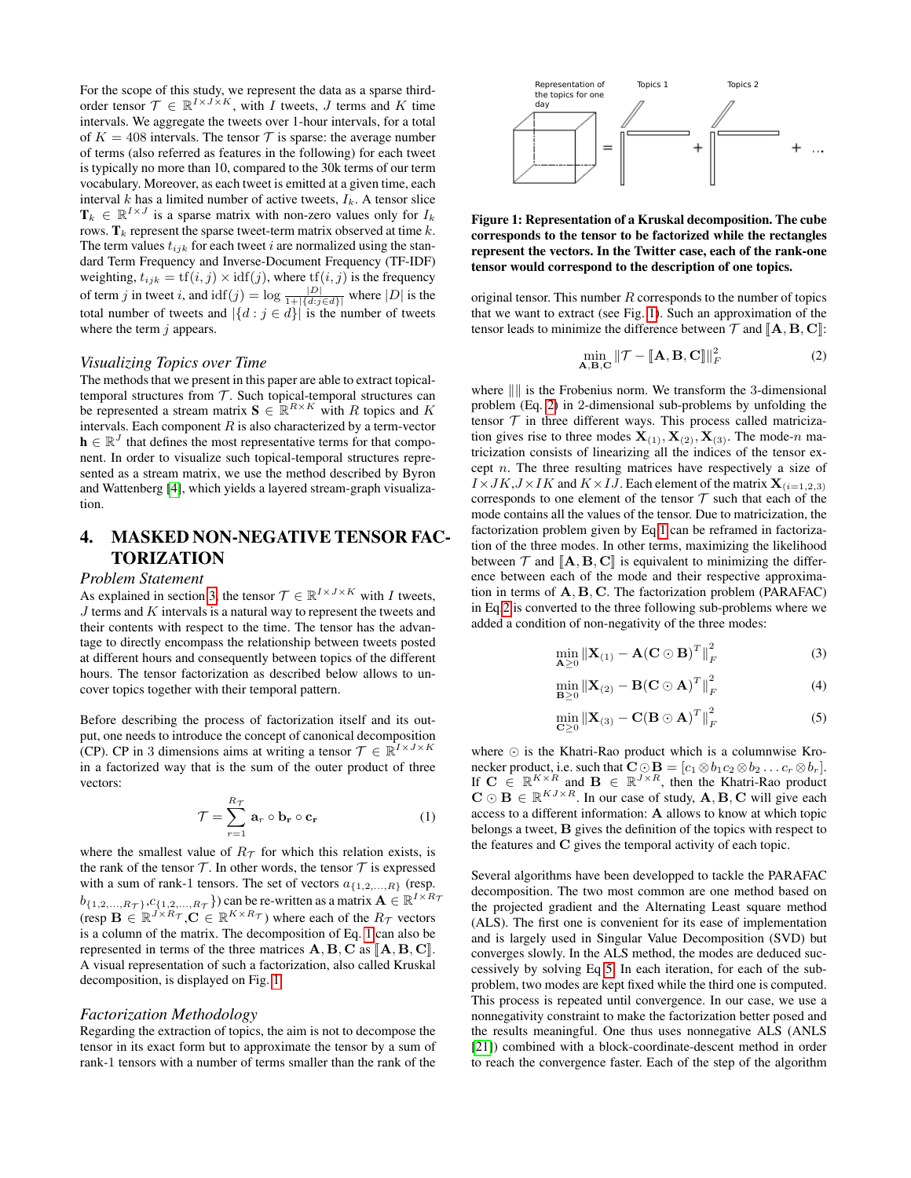For the scope of this study, we represent the data as a sparse thirdorder tensor  $\mathcal{T} \in \mathbb{R}^{I \times J \times K}$ , with *I* tweets, *J* terms and *K* time intervals. We aggregate the tweets over 1-hour intervals, for a total of  $K = 408$  intervals. The tensor  $\mathcal T$  is sparse: the average number of terms (also referred as features in the following) for each tweet is typically no more than 10, compared to the 30k terms of our term vocabulary. Moreover, as each tweet is emitted at a given time, each interval k has a limited number of active tweets,  $I_k$ . A tensor slice  $\mathbf{T}_k \in \mathbb{R}^{I \times J}$  is a sparse matrix with non-zero values only for  $I_k$ rows.  $\mathbf{T}_k$  represent the sparse tweet-term matrix observed at time k. The term values  $t_{ijk}$  for each tweet i are normalized using the standard Term Frequency and Inverse-Document Frequency (TF-IDF) weighting,  $t_{ijk} = \text{tf}(i, j) \times \text{idf}(j)$ , where  $\text{tf}(i, j)$  is the frequency of term j in tweet i, and  $\text{idf}(j) = \log \frac{|D|}{1 + |\{d:j \in d\}|}$  where  $|D|$  is the total number of tweets and  $|\{d : j \in d\}|$  is the number of tweets where the term  $j$  appears.

#### *Visualizing Topics over Time*

The methods that we present in this paper are able to extract topicaltemporal structures from  $T$ . Such topical-temporal structures can be represented a stream matrix  $\mathbf{S} \in \mathbb{R}^{R \times K}$  with R topics and K intervals. Each component  $R$  is also characterized by a term-vector  $h \in \mathbb{R}^{J}$  that defines the most representative terms for that component. In order to visualize such topical-temporal structures represented as a stream matrix, we use the method described by Byron and Wattenberg [\[4\]](#page-5-5), which yields a layered stream-graph visualization.

# <span id="page-2-0"></span>4. MASKED NON-NEGATIVE TENSOR FAC-**TORIZATION**

#### *Problem Statement*

As explained in section [3,](#page-1-1) the tensor  $\mathcal{T} \in \mathbb{R}^{I \times J \times K}$  with I tweets,  $J$  terms and  $K$  intervals is a natural way to represent the tweets and their contents with respect to the time. The tensor has the advantage to directly encompass the relationship between tweets posted at different hours and consequently between topics of the different hours. The tensor factorization as described below allows to uncover topics together with their temporal pattern.

Before describing the process of factorization itself and its output, one needs to introduce the concept of canonical decomposition (CP). CP in 3 dimensions aims at writing a tensor  $\mathcal{T} \in \mathbb{R}^{I \times J \times K}$ in a factorized way that is the sum of the outer product of three vectors:

<span id="page-2-1"></span>
$$
\mathcal{T} = \sum_{r=1}^{R_{\mathcal{T}}} \mathbf{a}_r \circ \mathbf{b}_r \circ \mathbf{c}_r \tag{1}
$$

where the smallest value of  $R_{\mathcal{T}}$  for which this relation exists, is the rank of the tensor  $\mathcal T$ . In other words, the tensor  $\mathcal T$  is expressed with a sum of rank-1 tensors. The set of vectors  $a_{\{1,2,...,R\}}$  (resp.  $b_{\{1,2,\ldots,R_{\mathcal{T}}\},c_{\{1,2,\ldots,R_{\mathcal{T}}\}}\}$  can be re-written as a matrix  $\mathbf{A}\in\mathbb{R}^{I\times R_{\mathcal{T}}}$ (resp  $\mathbf{B} \in \mathbb{R}^{J \times R_{\mathcal{T}}}$ ,  $\mathbf{C} \in \mathbb{R}^{K \times R_{\mathcal{T}}}$ ) where each of the  $R_{\mathcal{T}}$  vectors is a column of the matrix. The decomposition of Eq. [1](#page-2-1) can also be represented in terms of the three matrices  $A, B, C$  as  $[[A, B, C]].$ A visual representation of such a factorization, also called Kruskal decomposition, is displayed on Fig. [1.](#page-2-2)

#### *Factorization Methodology*

Regarding the extraction of topics, the aim is not to decompose the tensor in its exact form but to approximate the tensor by a sum of rank-1 tensors with a number of terms smaller than the rank of the



<span id="page-2-2"></span>Figure 1: Representation of a Kruskal decomposition. The cube corresponds to the tensor to be factorized while the rectangles represent the vectors. In the Twitter case, each of the rank-one tensor would correspond to the description of one topics.

original tensor. This number  $R$  corresponds to the number of topics that we want to extract (see Fig. [1\)](#page-2-2). Such an approximation of the tensor leads to minimize the difference between  $\mathcal T$  and  $\mathbb A, \mathbf B, \mathbf C$ :

<span id="page-2-3"></span>
$$
\min_{\mathbf{A}, \mathbf{B}, \mathbf{C}} \|\mathcal{T} - [\![\mathbf{A}, \mathbf{B}, \mathbf{C}]\!] \|_F^2 \tag{2}
$$

where  $\| \$  is the Frobenius norm. We transform the 3-dimensional problem (Eq. [2\)](#page-2-3) in 2-dimensional sub-problems by unfolding the tensor  $T$  in three different ways. This process called matricization gives rise to three modes  $X_{(1)}, X_{(2)}, X_{(3)}$ . The mode-n matricization consists of linearizing all the indices of the tensor except  $n$ . The three resulting matrices have respectively a size of  $\overrightarrow{IX}$ ,  $\overrightarrow{J}$   $\overrightarrow{K}$ ,  $\overrightarrow{J}$   $\overrightarrow{K}$  and  $\overrightarrow{K}$   $\times$   $\overrightarrow{IJ}$ . Each element of the matrix  $\mathbf{X}_{(i=1,2,3)}$ corresponds to one element of the tensor  $T$  such that each of the mode contains all the values of the tensor. Due to matricization, the factorization problem given by Eq[.1](#page-2-1) can be reframed in factorization of the three modes. In other terms, maximizing the likelihood between  $\mathcal T$  and  $[\mathbf A, \mathbf B, \mathbf C]$  is equivalent to minimizing the difference between each of the mode and their respective approximation in terms of A, B, C. The factorization problem (PARAFAC) in Eq[.2](#page-2-3) is converted to the three following sub-problems where we added a condition of non-negativity of the three modes:

<span id="page-2-4"></span>
$$
\min_{\mathbf{A}\geq 0} \left\| \mathbf{X}_{(1)} - \mathbf{A} (\mathbf{C} \odot \mathbf{B})^T \right\|_F^2
$$
 (3)

$$
\min_{\mathbf{B}\geq 0} \left\| \mathbf{X}_{(2)} - \mathbf{B}(\mathbf{C} \odot \mathbf{A})^T \right\|_F^2 \tag{4}
$$

$$
\min_{\mathbf{C}\geq 0} \left\| \mathbf{X}_{(3)} - \mathbf{C}(\mathbf{B} \odot \mathbf{A})^T \right\|_F^2
$$
 (5)

where  $\odot$  is the Khatri-Rao product which is a columnwise Kronecker product, i.e. such that  $\mathbf{C} \odot \mathbf{B} = [c_1 \otimes b_1 c_2 \otimes b_2 \dots c_r \otimes b_r].$ If  $C \in \mathbb{R}^{K \times R}$  and  $B \in \mathbb{R}^{J \times R}$ , then the Khatri-Rao product  $\mathbf{C} \odot \mathbf{B} \in \mathbb{R}^{KJ \times R}$ . In our case of study,  $\mathbf{A}, \mathbf{B}, \mathbf{C}$  will give each access to a different information: A allows to know at which topic belongs a tweet, B gives the definition of the topics with respect to the features and C gives the temporal activity of each topic.

Several algorithms have been developped to tackle the PARAFAC decomposition. The two most common are one method based on the projected gradient and the Alternating Least square method (ALS). The first one is convenient for its ease of implementation and is largely used in Singular Value Decomposition (SVD) but converges slowly. In the ALS method, the modes are deduced successively by solving Eq [5.](#page-2-4) In each iteration, for each of the subproblem, two modes are kept fixed while the third one is computed. This process is repeated until convergence. In our case, we use a nonnegativity constraint to make the factorization better posed and the results meaningful. One thus uses nonnegative ALS (ANLS [\[21\]](#page-7-22)) combined with a block-coordinate-descent method in order to reach the convergence faster. Each of the step of the algorithm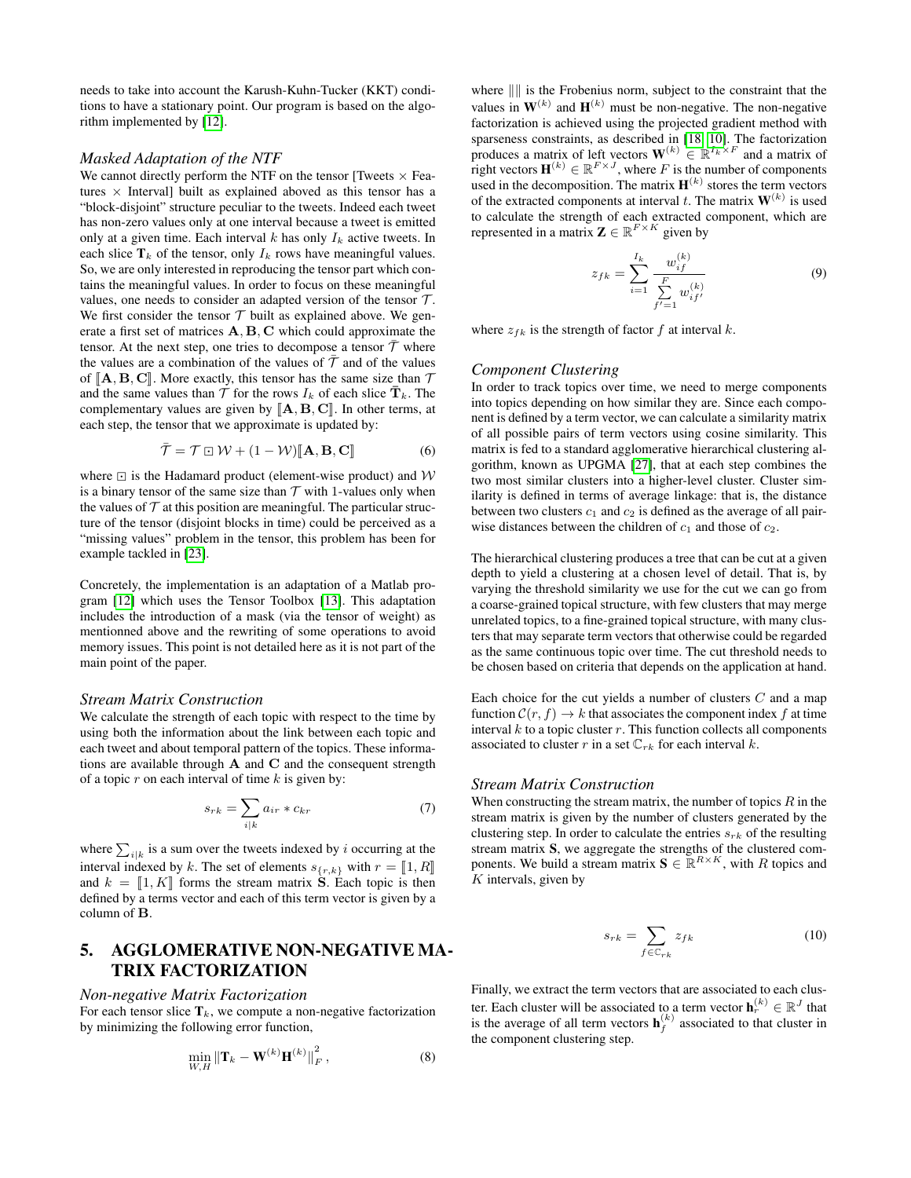needs to take into account the Karush-Kuhn-Tucker (KKT) conditions to have a stationary point. Our program is based on the algorithm implemented by [\[12\]](#page-7-23).

#### *Masked Adaptation of the NTF*

We cannot directly perform the NTF on the tensor [Tweets  $\times$  Features  $\times$  Interval] built as explained aboved as this tensor has a "block-disjoint" structure peculiar to the tweets. Indeed each tweet has non-zero values only at one interval because a tweet is emitted only at a given time. Each interval  $k$  has only  $I_k$  active tweets. In each slice  $T_k$  of the tensor, only  $I_k$  rows have meaningful values. So, we are only interested in reproducing the tensor part which contains the meaningful values. In order to focus on these meaningful values, one needs to consider an adapted version of the tensor  $\mathcal{T}$ . We first consider the tensor  $T$  built as explained above. We generate a first set of matrices A, B, C which could approximate the tensor. At the next step, one tries to decompose a tensor  $\bar{\mathcal{T}}$  where the values are a combination of the values of  $\bar{\mathcal{T}}$  and of the values of  $\mathbb{A}, \mathbf{B}, \mathbf{C}$ . More exactly, this tensor has the same size than  $\mathcal T$ and the same values than  $\mathcal T$  for the rows  $I_k$  of each slice  $\bar{\mathbf{T}}_k$ . The complementary values are given by  $[\![\mathbf{A},\mathbf{B},\mathbf{C}]\!]$ . In other terms, at each step, the tensor that we approximate is updated by:

$$
\bar{\mathcal{T}} = \mathcal{T} \boxdot \mathcal{W} + (1 - \mathcal{W}) [\![ \mathbf{A}, \mathbf{B}, \mathbf{C} ]\!] \tag{6}
$$

where  $\boxdot$  is the Hadamard product (element-wise product) and  $\mathcal W$ is a binary tensor of the same size than  $T$  with 1-values only when the values of  $T$  at this position are meaningful. The particular structure of the tensor (disjoint blocks in time) could be perceived as a "missing values" problem in the tensor, this problem has been for example tackled in [\[23\]](#page-7-24).

Concretely, the implementation is an adaptation of a Matlab program [\[12\]](#page-7-23) which uses the Tensor Toolbox [\[13\]](#page-7-25). This adaptation includes the introduction of a mask (via the tensor of weight) as mentionned above and the rewriting of some operations to avoid memory issues. This point is not detailed here as it is not part of the main point of the paper.

#### *Stream Matrix Construction*

We calculate the strength of each topic with respect to the time by using both the information about the link between each topic and each tweet and about temporal pattern of the topics. These informations are available through  $A$  and  $C$  and the consequent strength of a topic  $r$  on each interval of time  $k$  is given by:

$$
s_{rk} = \sum_{i|k} a_{ir} * c_{kr} \tag{7}
$$

where  $\sum_{i|k}$  is a sum over the tweets indexed by i occurring at the interval indexed by k. The set of elements  $s_{\{r,k\}}$  with  $r = [1, R]$ and  $k = \llbracket 1, K \rrbracket$  forms the stream matrix **S**. Each topic is then defined by a terms vector and each of this term vector is given by a column of B.

# <span id="page-3-0"></span>5. AGGLOMERATIVE NON-NEGATIVE MA-TRIX FACTORIZATION

#### *Non-negative Matrix Factorization*

For each tensor slice  $T_k$ , we compute a non-negative factorization by minimizing the following error function,

$$
\min_{W,H} \left\| \mathbf{T}_k - \mathbf{W}^{(k)} \mathbf{H}^{(k)} \right\|_F^2, \tag{8}
$$

where  $\| \|$  is the Frobenius norm, subject to the constraint that the values in  $W^{(k)}$  and  $H^{(k)}$  must be non-negative. The non-negative factorization is achieved using the projected gradient method with sparseness constraints, as described in [\[18,](#page-7-26) [10\]](#page-7-27). The factorization produces a matrix of left vectors  $\mathbf{W}^{(k)} \in \mathbb{R}^{I_k \times F}$  and a matrix of right vectors  $\mathbf{H}^{(k)} \in \mathbb{R}^{F \times J}$ , where F is the number of components used in the decomposition. The matrix  $\mathbf{H}^{(k)}$  stores the term vectors of the extracted components at interval t. The matrix  $W^{(k)}$  is used to calculate the strength of each extracted component, which are represented in a matrix  $\mathbf{Z} \in \mathbb{R}^{F \times K}$  given by

$$
z_{fk} = \sum_{i=1}^{I_k} \frac{w_{if}^{(k)}}{\sum_{f'=1}^{F} w_{if'}^{(k)}}
$$
(9)

where  $z_{fk}$  is the strength of factor f at interval k.

#### *Component Clustering*

In order to track topics over time, we need to merge components into topics depending on how similar they are. Since each component is defined by a term vector, we can calculate a similarity matrix of all possible pairs of term vectors using cosine similarity. This matrix is fed to a standard agglomerative hierarchical clustering algorithm, known as UPGMA [\[27\]](#page-7-28), that at each step combines the two most similar clusters into a higher-level cluster. Cluster similarity is defined in terms of average linkage: that is, the distance between two clusters  $c_1$  and  $c_2$  is defined as the average of all pairwise distances between the children of  $c_1$  and those of  $c_2$ .

The hierarchical clustering produces a tree that can be cut at a given depth to yield a clustering at a chosen level of detail. That is, by varying the threshold similarity we use for the cut we can go from a coarse-grained topical structure, with few clusters that may merge unrelated topics, to a fine-grained topical structure, with many clusters that may separate term vectors that otherwise could be regarded as the same continuous topic over time. The cut threshold needs to be chosen based on criteria that depends on the application at hand.

Each choice for the cut yields a number of clusters  $C$  and a map function  $C(r, f) \to k$  that associates the component index f at time interval  $k$  to a topic cluster  $r$ . This function collects all components associated to cluster r in a set  $\mathbb{C}_{rk}$  for each interval k.

#### *Stream Matrix Construction*

When constructing the stream matrix, the number of topics  $R$  in the stream matrix is given by the number of clusters generated by the clustering step. In order to calculate the entries  $s_{rk}$  of the resulting stream matrix S, we aggregate the strengths of the clustered components. We build a stream matrix  $\mathbf{S} \in \mathbb{R}^{R \times K}$ , with R topics and  $K$  intervals, given by

$$
s_{rk} = \sum_{f \in \mathbb{C}_{rk}} z_{fk} \tag{10}
$$

Finally, we extract the term vectors that are associated to each cluster. Each cluster will be associated to a term vector  $\mathbf{h}_r^{(k)} \in \mathbb{R}^J$  that is the average of all term vectors  $\mathbf{h}_f^{(k)}$  associated to that cluster in the component clustering step.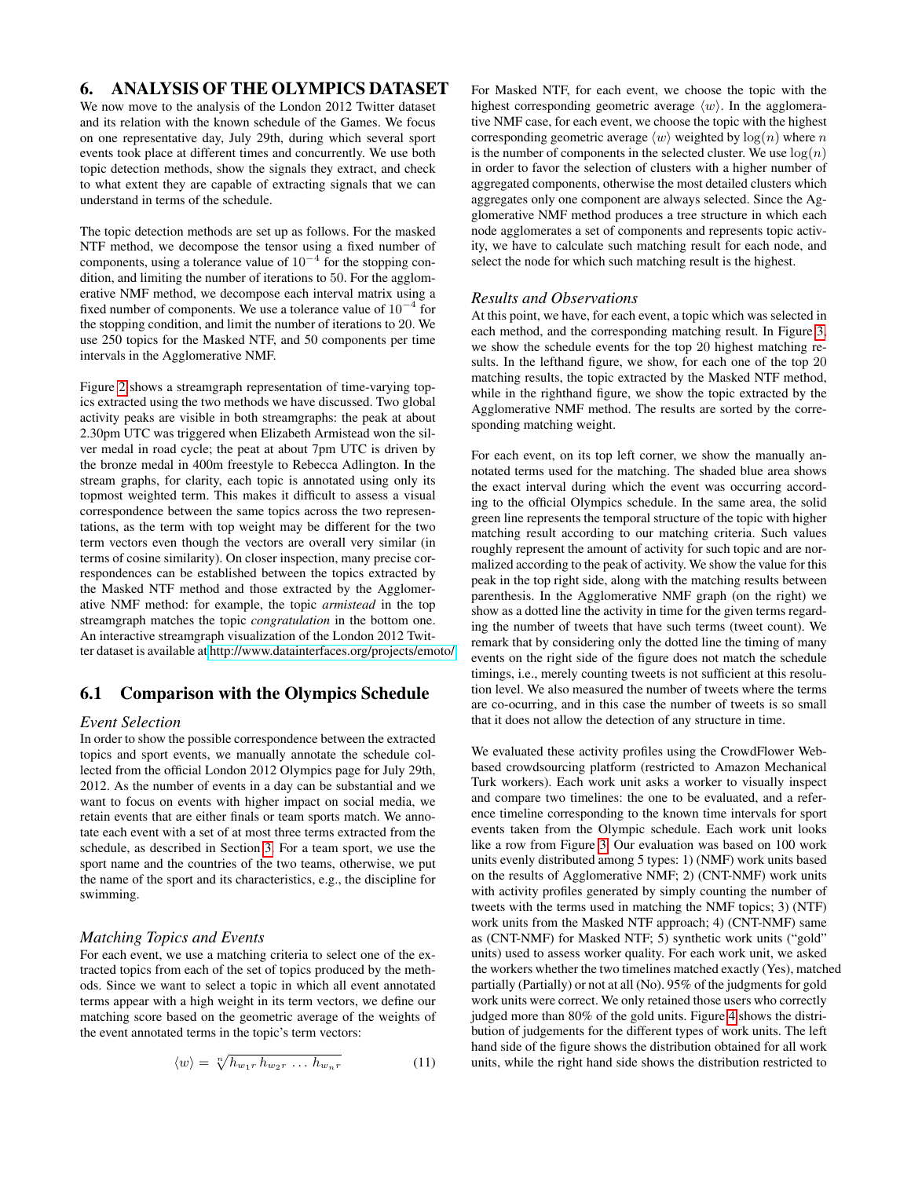# <span id="page-4-0"></span>6. ANALYSIS OF THE OLYMPICS DATASET

We now move to the analysis of the London 2012 Twitter dataset and its relation with the known schedule of the Games. We focus on one representative day, July 29th, during which several sport events took place at different times and concurrently. We use both topic detection methods, show the signals they extract, and check to what extent they are capable of extracting signals that we can understand in terms of the schedule.

The topic detection methods are set up as follows. For the masked NTF method, we decompose the tensor using a fixed number of components, using a tolerance value of  $10^{-4}$  for the stopping condition, and limiting the number of iterations to 50. For the agglomerative NMF method, we decompose each interval matrix using a fixed number of components. We use a tolerance value of  $10^{-4}$  for the stopping condition, and limit the number of iterations to 20. We use 250 topics for the Masked NTF, and 50 components per time intervals in the Agglomerative NMF.

Figure [2](#page-5-6) shows a streamgraph representation of time-varying topics extracted using the two methods we have discussed. Two global activity peaks are visible in both streamgraphs: the peak at about 2.30pm UTC was triggered when Elizabeth Armistead won the silver medal in road cycle; the peat at about 7pm UTC is driven by the bronze medal in 400m freestyle to Rebecca Adlington. In the stream graphs, for clarity, each topic is annotated using only its topmost weighted term. This makes it difficult to assess a visual correspondence between the same topics across the two representations, as the term with top weight may be different for the two term vectors even though the vectors are overall very similar (in terms of cosine similarity). On closer inspection, many precise correspondences can be established between the topics extracted by the Masked NTF method and those extracted by the Agglomerative NMF method: for example, the topic *armistead* in the top streamgraph matches the topic *congratulation* in the bottom one. An interactive streamgraph visualization of the London 2012 Twitter dataset is available at [http://www.datainterfaces.org/projects/emoto/.](http://www.datainterfaces.org/projects/emoto/)

# 6.1 Comparison with the Olympics Schedule

#### *Event Selection*

In order to show the possible correspondence between the extracted topics and sport events, we manually annotate the schedule collected from the official London 2012 Olympics page for July 29th, 2012. As the number of events in a day can be substantial and we want to focus on events with higher impact on social media, we retain events that are either finals or team sports match. We annotate each event with a set of at most three terms extracted from the schedule, as described in Section [3.](#page-1-1) For a team sport, we use the sport name and the countries of the two teams, otherwise, we put the name of the sport and its characteristics, e.g., the discipline for swimming.

### *Matching Topics and Events*

For each event, we use a matching criteria to select one of the extracted topics from each of the set of topics produced by the methods. Since we want to select a topic in which all event annotated terms appear with a high weight in its term vectors, we define our matching score based on the geometric average of the weights of the event annotated terms in the topic's term vectors:

$$
\langle w \rangle = \sqrt[n]{h_{w_1r} h_{w_2r} \dots h_{w_nr}} \tag{11}
$$

For Masked NTF, for each event, we choose the topic with the highest corresponding geometric average  $\langle w \rangle$ . In the agglomerative NMF case, for each event, we choose the topic with the highest corresponding geometric average  $\langle w \rangle$  weighted by  $\log(n)$  where n is the number of components in the selected cluster. We use  $log(n)$ in order to favor the selection of clusters with a higher number of aggregated components, otherwise the most detailed clusters which aggregates only one component are always selected. Since the Agglomerative NMF method produces a tree structure in which each node agglomerates a set of components and represents topic activity, we have to calculate such matching result for each node, and select the node for which such matching result is the highest.

### *Results and Observations*

At this point, we have, for each event, a topic which was selected in each method, and the corresponding matching result. In Figure [3,](#page-6-0) we show the schedule events for the top 20 highest matching results. In the lefthand figure, we show, for each one of the top 20 matching results, the topic extracted by the Masked NTF method, while in the righthand figure, we show the topic extracted by the Agglomerative NMF method. The results are sorted by the corresponding matching weight.

For each event, on its top left corner, we show the manually annotated terms used for the matching. The shaded blue area shows the exact interval during which the event was occurring according to the official Olympics schedule. In the same area, the solid green line represents the temporal structure of the topic with higher matching result according to our matching criteria. Such values roughly represent the amount of activity for such topic and are normalized according to the peak of activity. We show the value for this peak in the top right side, along with the matching results between parenthesis. In the Agglomerative NMF graph (on the right) we show as a dotted line the activity in time for the given terms regarding the number of tweets that have such terms (tweet count). We remark that by considering only the dotted line the timing of many events on the right side of the figure does not match the schedule timings, i.e., merely counting tweets is not sufficient at this resolution level. We also measured the number of tweets where the terms are co-ocurring, and in this case the number of tweets is so small that it does not allow the detection of any structure in time.

We evaluated these activity profiles using the CrowdFlower Webbased crowdsourcing platform (restricted to Amazon Mechanical Turk workers). Each work unit asks a worker to visually inspect and compare two timelines: the one to be evaluated, and a reference timeline corresponding to the known time intervals for sport events taken from the Olympic schedule. Each work unit looks like a row from Figure [3.](#page-6-0) Our evaluation was based on 100 work units evenly distributed among 5 types: 1) (NMF) work units based on the results of Agglomerative NMF; 2) (CNT-NMF) work units with activity profiles generated by simply counting the number of tweets with the terms used in matching the NMF topics; 3) (NTF) work units from the Masked NTF approach; 4) (CNT-NMF) same as (CNT-NMF) for Masked NTF; 5) synthetic work units ("gold" units) used to assess worker quality. For each work unit, we asked the workers whether the two timelines matched exactly (Yes), matched partially (Partially) or not at all (No). 95% of the judgments for gold work units were correct. We only retained those users who correctly judged more than 80% of the gold units. Figure [4](#page-7-29) shows the distribution of judgements for the different types of work units. The left hand side of the figure shows the distribution obtained for all work units, while the right hand side shows the distribution restricted to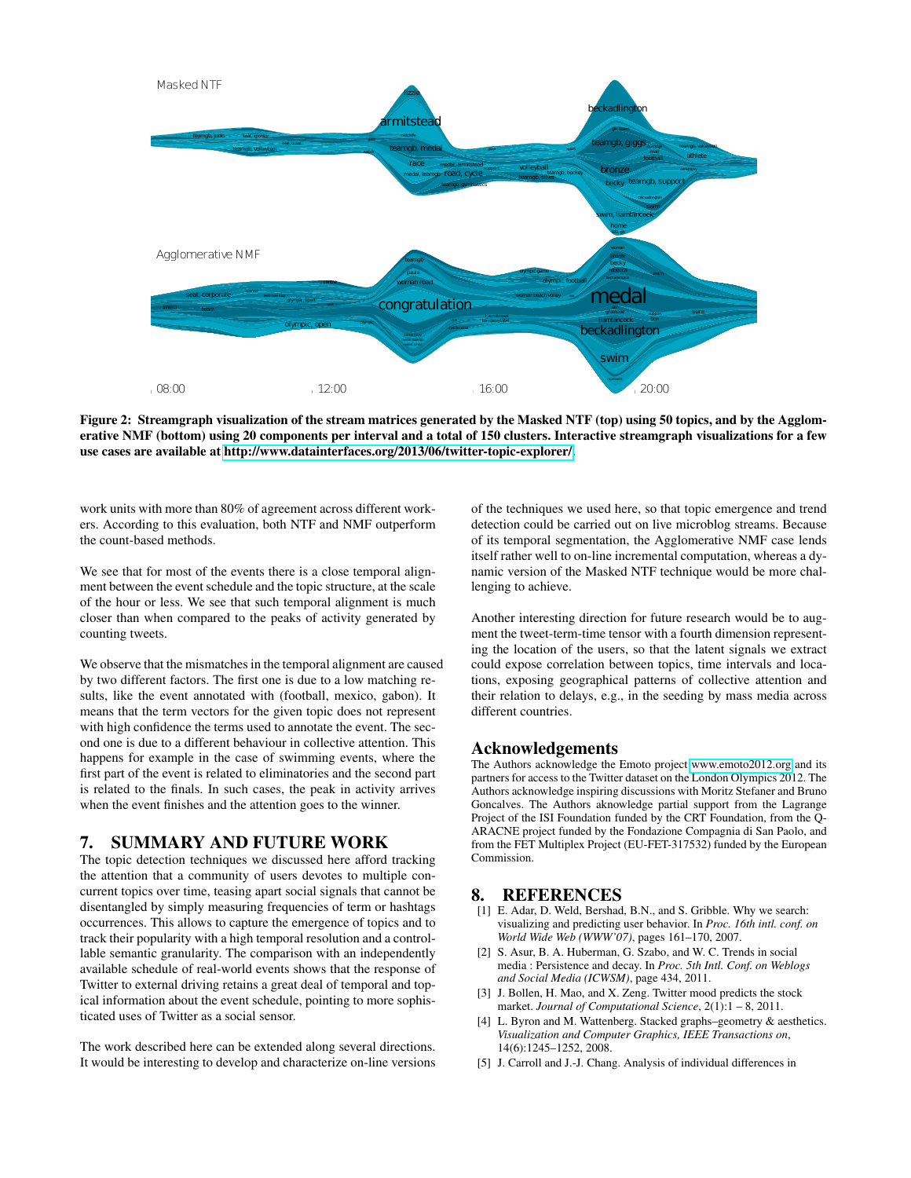

<span id="page-5-6"></span>Figure 2: Streamgraph visualization of the stream matrices generated by the Masked NTF (top) using 50 topics, and by the Agglomerative NMF (bottom) using 20 components per interval and a total of 150 clusters. Interactive streamgraph visualizations for a few use cases are available at [http://www.datainterfaces.org/2013/06/twitter-topic-explorer/.](http://www.datainterfaces.org/2013/06/twitter-topic-explorer/)

work units with more than 80% of agreement across different workers. According to this evaluation, both NTF and NMF outperform the count-based methods.

We see that for most of the events there is a close temporal alignment between the event schedule and the topic structure, at the scale of the hour or less. We see that such temporal alignment is much closer than when compared to the peaks of activity generated by counting tweets.

We observe that the mismatches in the temporal alignment are caused by two different factors. The first one is due to a low matching results, like the event annotated with (football, mexico, gabon). It means that the term vectors for the given topic does not represent with high confidence the terms used to annotate the event. The second one is due to a different behaviour in collective attention. This happens for example in the case of swimming events, where the first part of the event is related to eliminatories and the second part is related to the finals. In such cases, the peak in activity arrives when the event finishes and the attention goes to the winner.

# <span id="page-5-0"></span>7. SUMMARY AND FUTURE WORK

The topic detection techniques we discussed here afford tracking the attention that a community of users devotes to multiple concurrent topics over time, teasing apart social signals that cannot be disentangled by simply measuring frequencies of term or hashtags occurrences. This allows to capture the emergence of topics and to track their popularity with a high temporal resolution and a controllable semantic granularity. The comparison with an independently available schedule of real-world events shows that the response of Twitter to external driving retains a great deal of temporal and topical information about the event schedule, pointing to more sophisticated uses of Twitter as a social sensor.

The work described here can be extended along several directions. It would be interesting to develop and characterize on-line versions of the techniques we used here, so that topic emergence and trend detection could be carried out on live microblog streams. Because of its temporal segmentation, the Agglomerative NMF case lends itself rather well to on-line incremental computation, whereas a dynamic version of the Masked NTF technique would be more challenging to achieve.

Another interesting direction for future research would be to augment the tweet-term-time tensor with a fourth dimension representing the location of the users, so that the latent signals we extract could expose correlation between topics, time intervals and locations, exposing geographical patterns of collective attention and their relation to delays, e.g., in the seeding by mass media across different countries.

# Acknowledgements

The Authors acknowledge the Emoto project<www.emoto2012.org> and its partners for access to the Twitter dataset on the London Olympics 2012. The Authors acknowledge inspiring discussions with Moritz Stefaner and Bruno Goncalves. The Authors aknowledge partial support from the Lagrange Project of the ISI Foundation funded by the CRT Foundation, from the Q-ARACNE project funded by the Fondazione Compagnia di San Paolo, and from the FET Multiplex Project (EU-FET-317532) funded by the European Commission.

### 8. REFERENCES

- <span id="page-5-2"></span>[1] E. Adar, D. Weld, Bershad, B.N., and S. Gribble. Why we search: visualizing and predicting user behavior. In *Proc. 16th intl. conf. on World Wide Web (WWW'07)*, pages 161–170, 2007.
- <span id="page-5-1"></span>[2] S. Asur, B. A. Huberman, G. Szabo, and W. C. Trends in social media : Persistence and decay. In *Proc. 5th Intl. Conf. on Weblogs and Social Media (ICWSM)*, page 434, 2011.
- <span id="page-5-3"></span>[3] J. Bollen, H. Mao, and X. Zeng. Twitter mood predicts the stock market. *Journal of Computational Science*, 2(1):1 – 8, 2011.
- <span id="page-5-5"></span>[4] L. Byron and M. Wattenberg. Stacked graphs–geometry & aesthetics. *Visualization and Computer Graphics, IEEE Transactions on*, 14(6):1245–1252, 2008.
- <span id="page-5-4"></span>[5] J. Carroll and J.-J. Chang. Analysis of individual differences in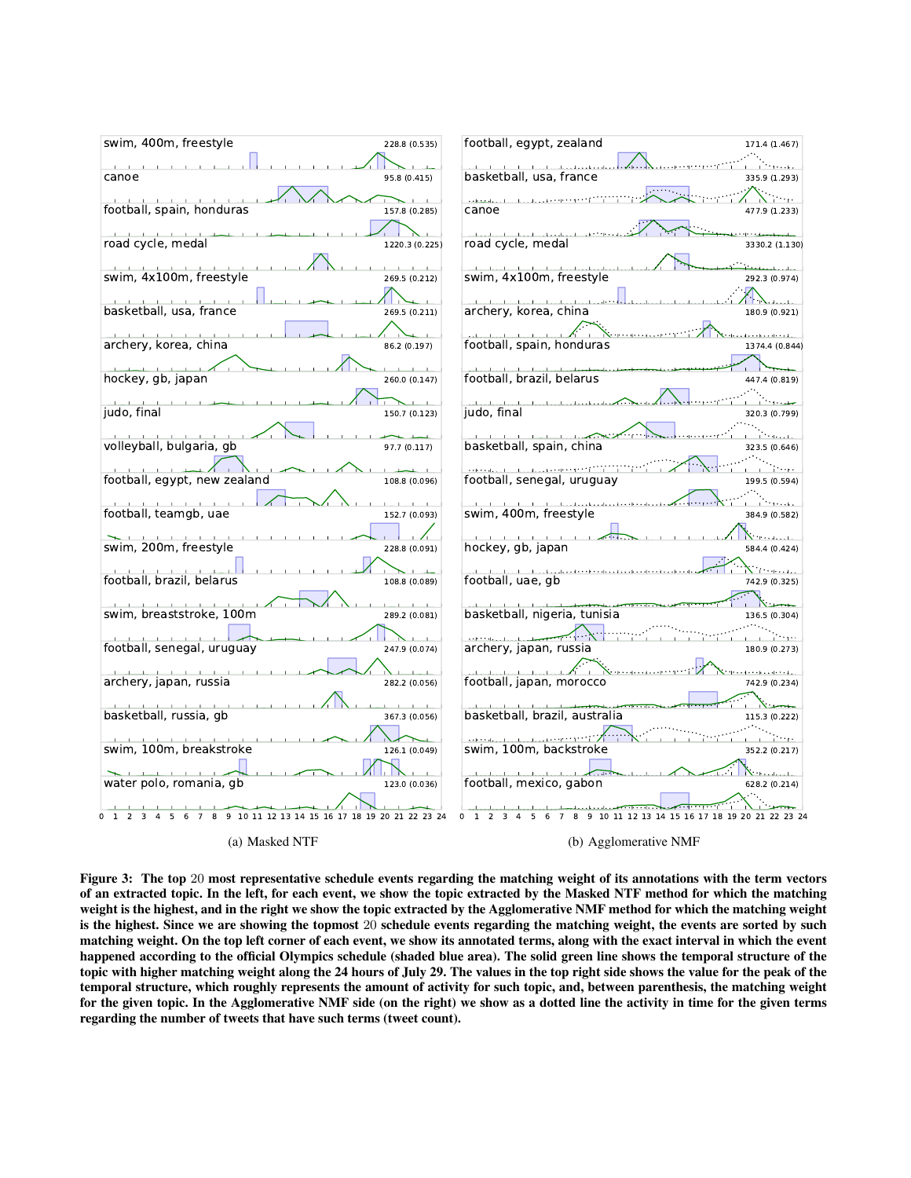

<span id="page-6-0"></span>Figure 3: The top 20 most representative schedule events regarding the matching weight of its annotations with the term vectors of an extracted topic. In the left, for each event, we show the topic extracted by the Masked NTF method for which the matching weight is the highest, and in the right we show the topic extracted by the Agglomerative NMF method for which the matching weight is the highest. Since we are showing the topmost 20 schedule events regarding the matching weight, the events are sorted by such matching weight. On the top left corner of each event, we show its annotated terms, along with the exact interval in which the event happened according to the official Olympics schedule (shaded blue area). The solid green line shows the temporal structure of the topic with higher matching weight along the 24 hours of July 29. The values in the top right side shows the value for the peak of the temporal structure, which roughly represents the amount of activity for such topic, and, between parenthesis, the matching weight for the given topic. In the Agglomerative NMF side (on the right) we show as a dotted line the activity in time for the given terms regarding the number of tweets that have such terms (tweet count).